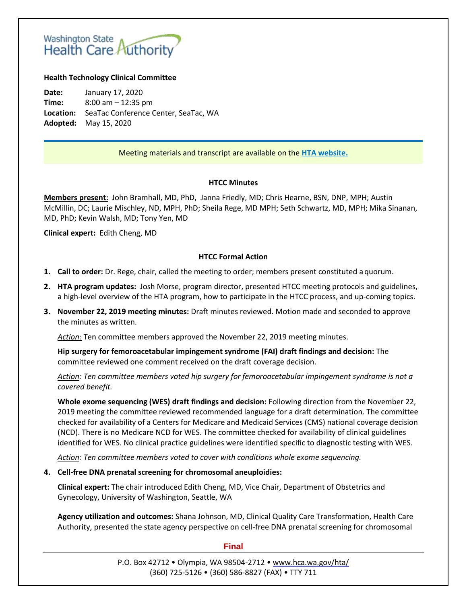# Washington State<br>Health Care Authority

## **Health Technology Clinical Committee**

**Date:** January 17, 2020 **Time:** 8:00 am – 12:35 pm **Location:** SeaTac Conference Center, SeaTac, WA **Adopted:** May 15, 2020

# Meeting materials and transcript are available on the **[HTA website.](http://www.hca.wa.gov/about-hca/health-technology-assessment/meetings-and-materials)**

### **HTCC Minutes**

**Members present:** John Bramhall, MD, PhD, Janna Friedly, MD; Chris Hearne, BSN, DNP, MPH; Austin McMillin, DC; Laurie Mischley, ND, MPH, PhD; Sheila Rege, MD MPH; Seth Schwartz, MD, MPH; Mika Sinanan, MD, PhD; Kevin Walsh, MD; Tony Yen, MD

**Clinical expert:** Edith Cheng, MD

## **HTCC Formal Action**

- **1. Call to order:** Dr. Rege, chair, called the meeting to order; members present constituted a quorum.
- **2. HTA program updates:** Josh Morse, program director, presented HTCC meeting protocols and guidelines, a high-level overview of the HTA program, how to participate in the HTCC process, and up-coming topics.
- **3. November 22, 2019 meeting minutes:** Draft minutes reviewed. Motion made and seconded to approve the minutes as written.

*Action:* Ten committee members approved the November 22, 2019 meeting minutes.

**Hip surgery for femoroacetabular impingement syndrome (FAI) draft findings and decision:** The committee reviewed one comment received on the draft coverage decision.

*Action: Ten committee members voted hip surgery for femoroacetabular impingement syndrome is not a covered benefit.* 

**Whole exome sequencing (WES) draft findings and decision:** Following direction from the November 22, 2019 meeting the committee reviewed recommended language for a draft determination. The committee checked for availability of a Centers for Medicare and Medicaid Services (CMS) national coverage decision (NCD). There is no Medicare NCD for WES. The committee checked for availability of clinical guidelines identified for WES. No clinical practice guidelines were identified specific to diagnostic testing with WES.

*Action: Ten committee members voted to cover with conditions whole exome sequencing.* 

### **4. Cell-free DNA prenatal screening for chromosomal aneuploidies:**

**Clinical expert:** The chair introduced Edith Cheng, MD, Vice Chair, Department of Obstetrics and Gynecology, University of Washington, Seattle, WA

**Agency utilization and outcomes:** Shana Johnson, MD, Clinical Quality Care Transformation, Health Care Authority, presented the state agency perspective on cell-free DNA prenatal screening for chromosomal

### **Final**

P.O. Box 42712 • Olympia, WA 98504-2712 • [www.hca.wa.gov/hta/](http://www.hca.wa.gov/hta/) (360) 725-5126 • (360) 586-8827 (FAX) • TTY 711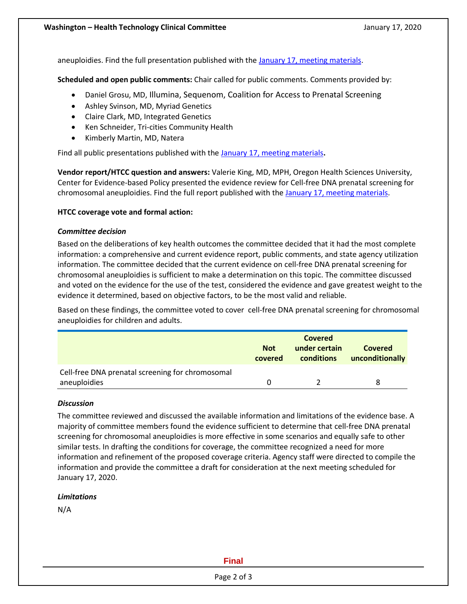aneuploidies. Find the full presentation published with the [January 17, meeting materials.](https://www.hca.wa.gov/about-hca/health-technology-assessment/meetings-and-materials)

**Scheduled and open public comments:** Chair called for public comments. Comments provided by:

- Daniel Grosu, MD, Illumina, Sequenom, Coalition for Access to Prenatal Screening
- Ashley Svinson, MD, Myriad Genetics
- Claire Clark, MD, Integrated Genetics
- Ken Schneider, Tri-cities Community Health
- Kimberly Martin, MD, Natera

Find all public presentations published with the [January 17, meeting materials](https://www.hca.wa.gov/about-hca/health-technology-assessment/meetings-and-materials)**.**

**Vendor report/HTCC question and answers:** Valerie King, MD, MPH, Oregon Health Sciences University, Center for Evidence-based Policy presented the evidence review for Cell-free DNA prenatal screening for chromosomal aneuploidies. Find the full report published with the January 17, [meeting materials.](https://www.hca.wa.gov/about-hca/health-technology-assessment/meetings-and-materials)

# **HTCC coverage vote and formal action:**

## *Committee decision*

Based on the deliberations of key health outcomes the committee decided that it had the most complete information: a comprehensive and current evidence report, public comments, and state agency utilization information. The committee decided that the current evidence on cell-free DNA prenatal screening for chromosomal aneuploidies is sufficient to make a determination on this topic. The committee discussed and voted on the evidence for the use of the test, considered the evidence and gave greatest weight to the evidence it determined, based on objective factors, to be the most valid and reliable.

Based on these findings, the committee voted to cover cell-free DNA prenatal screening for chromosomal aneuploidies for children and adults.

|                                                                  | <b>Not</b><br>covered | Covered<br>under certain<br>conditions | Covered<br>unconditionally |
|------------------------------------------------------------------|-----------------------|----------------------------------------|----------------------------|
| Cell-free DNA prenatal screening for chromosomal<br>aneuploidies |                       |                                        | 8                          |

### *Discussion*

The committee reviewed and discussed the available information and limitations of the evidence base. A majority of committee members found the evidence sufficient to determine that cell-free DNA prenatal screening for chromosomal aneuploidies is more effective in some scenarios and equally safe to other similar tests. In drafting the conditions for coverage, the committee recognized a need for more information and refinement of the proposed coverage criteria. Agency staff were directed to compile the information and provide the committee a draft for consideration at the next meeting scheduled for January 17, 2020.

# *Limitations*

N/A

# **Final**